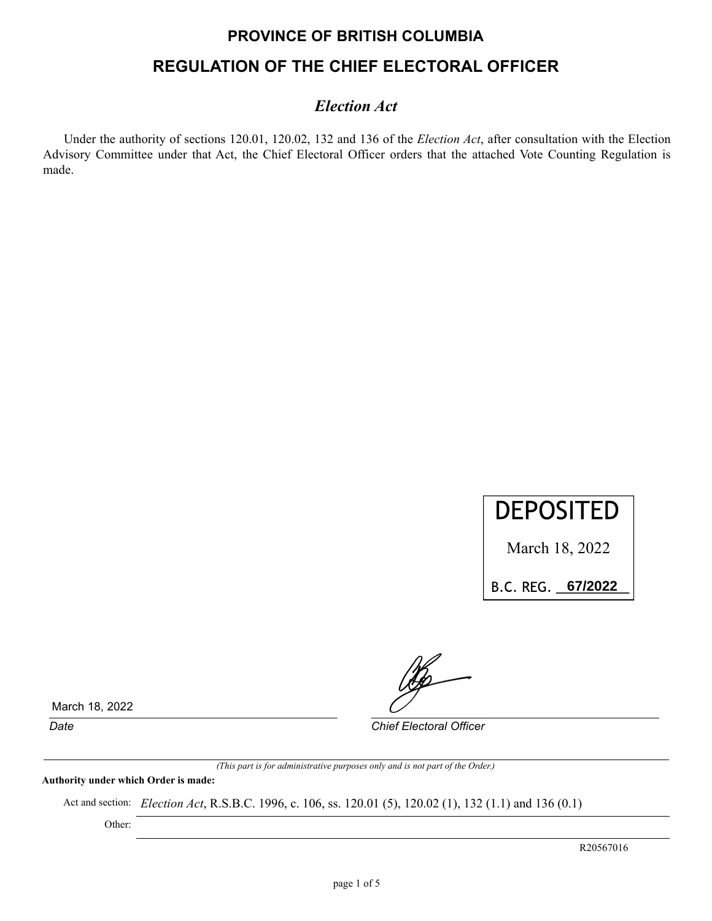# **PROVINCE OF BRITISH COLUMBIA REGULATION OF THE CHIEF ELECTORAL OFFICER**

### *Election Act*

Under the authority of sections 120.01, 120.02, 132 and 136 of the *Election Act*, after consultation with the Election Advisory Committee under that Act, the Chief Electoral Officer orders that the attached Vote Counting Regulation is made.



March 18, 2022

B.C.REG.\_\_\_\_\_\_\_\_\_\_ **67/2022**

March 18, 2022

*Date Chief Electoral Officer*

*(This part is for administrative purposes only and is not part of the Order.)*

**Authority under which Order is made:**

Act and section: *Election Act*, R.S.B.C. 1996, c. 106, ss. 120.01 (5), 120.02 (1), 132 (1.1) and 136 (0.1)

Other:

R20567016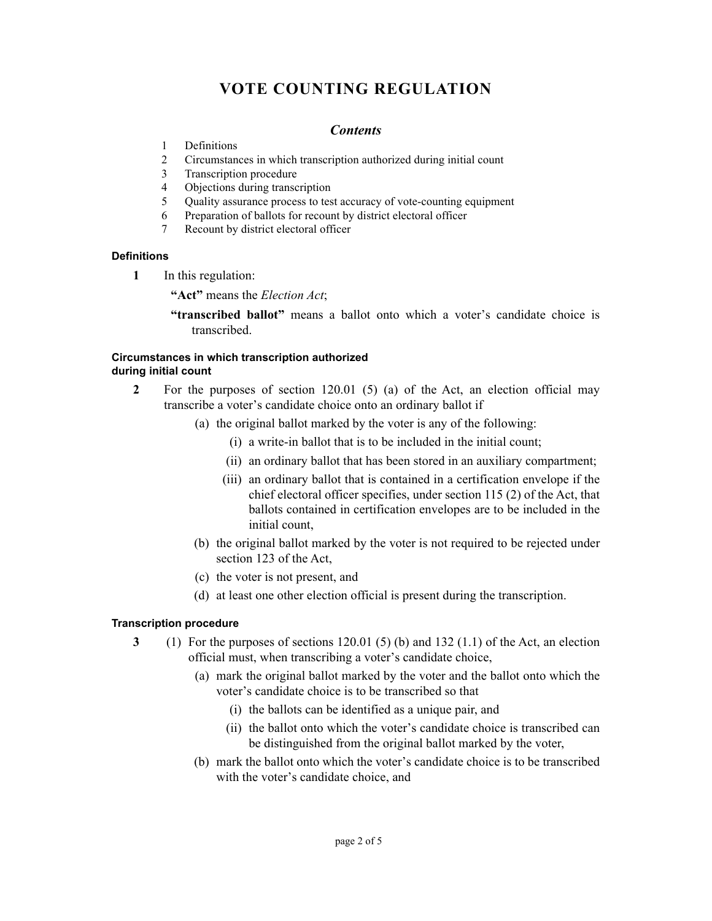## **VOTE COUNTING REGULATION**

#### *Contents*

- 1 Definitions
- 2 Circumstances in which transcription authorized during initial count
- 3 Transcription procedure
- 4 Objections during transcription
- 5 Quality assurance process to test accuracy of vote-counting equipment
- 6 Preparation of ballots for recount by district electoral officer
- 7 Recount by district electoral officer

#### **Definitions**

- **1** In this regulation:
	- **"Act"** means the *Election Act*;
	- **"transcribed ballot"** means a ballot onto which a voter's candidate choice is transcribed.

#### **Circumstances in which transcription authorized during initial count**

- **2** For the purposes of section 120.01 (5) (a) of the Act, an election official may transcribe a voter's candidate choice onto an ordinary ballot if
	- (a) the original ballot marked by the voter is any of the following:
		- (i) a write-in ballot that is to be included in the initial count;
		- (ii) an ordinary ballot that has been stored in an auxiliary compartment;
		- (iii) an ordinary ballot that is contained in a certification envelope if the chief electoral officer specifies, under section 115 (2) of the Act, that ballots contained in certification envelopes are to be included in the initial count,
	- (b) the original ballot marked by the voter is not required to be rejected under section 123 of the Act,
	- (c) the voter is not present, and
	- (d) at least one other election official is present during the transcription.

#### **Transcription procedure**

- **3** (1) For the purposes of sections 120.01 (5) (b) and 132 (1.1) of the Act, an election official must, when transcribing a voter's candidate choice,
	- (a) mark the original ballot marked by the voter and the ballot onto which the voter's candidate choice is to be transcribed so that
		- (i) the ballots can be identified as a unique pair, and
		- (ii) the ballot onto which the voter's candidate choice is transcribed can be distinguished from the original ballot marked by the voter,
	- (b) mark the ballot onto which the voter's candidate choice is to be transcribed with the voter's candidate choice, and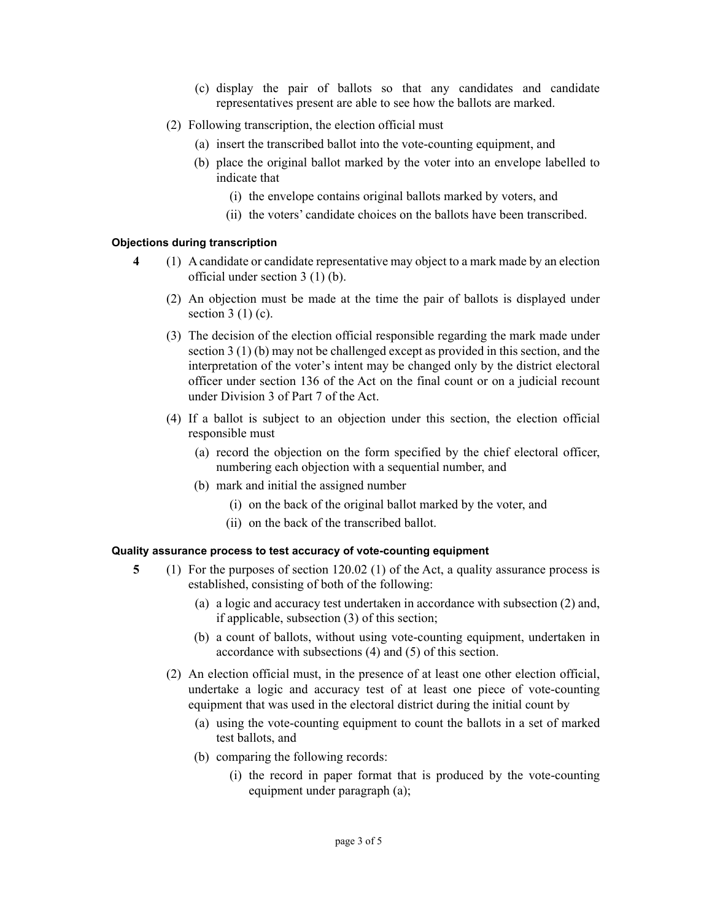- (c) display the pair of ballots so that any candidates and candidate representatives present are able to see how the ballots are marked.
- (2) Following transcription, the election official must
	- (a) insert the transcribed ballot into the vote-counting equipment, and
	- (b) place the original ballot marked by the voter into an envelope labelled to indicate that
		- (i) the envelope contains original ballots marked by voters, and
		- (ii) the voters' candidate choices on the ballots have been transcribed.

#### **Objections during transcription**

- **4** (1) A candidate or candidate representative may object to a mark made by an election official under section 3 (1) (b).
	- (2) An objection must be made at the time the pair of ballots is displayed under section  $3(1)(c)$ .
	- (3) The decision of the election official responsible regarding the mark made under section 3 (1) (b) may not be challenged except as provided in this section, and the interpretation of the voter's intent may be changed only by the district electoral officer under section 136 of the Act on the final count or on a judicial recount under Division 3 of Part 7 of the Act.
	- (4) If a ballot is subject to an objection under this section, the election official responsible must
		- (a) record the objection on the form specified by the chief electoral officer, numbering each objection with a sequential number, and
		- (b) mark and initial the assigned number
			- (i) on the back of the original ballot marked by the voter, and
			- (ii) on the back of the transcribed ballot.

#### **Quality assurance process to test accuracy of vote-counting equipment**

- **5** (1) For the purposes of section 120.02 (1) of the Act, a quality assurance process is established, consisting of both of the following:
	- (a) a logic and accuracy test undertaken in accordance with subsection (2) and, if applicable, subsection (3) of this section;
	- (b) a count of ballots, without using vote-counting equipment, undertaken in accordance with subsections (4) and (5) of this section.
	- (2) An election official must, in the presence of at least one other election official, undertake a logic and accuracy test of at least one piece of vote-counting equipment that was used in the electoral district during the initial count by
		- (a) using the vote-counting equipment to count the ballots in a set of marked test ballots, and
		- (b) comparing the following records:
			- (i) the record in paper format that is produced by the vote-counting equipment under paragraph (a);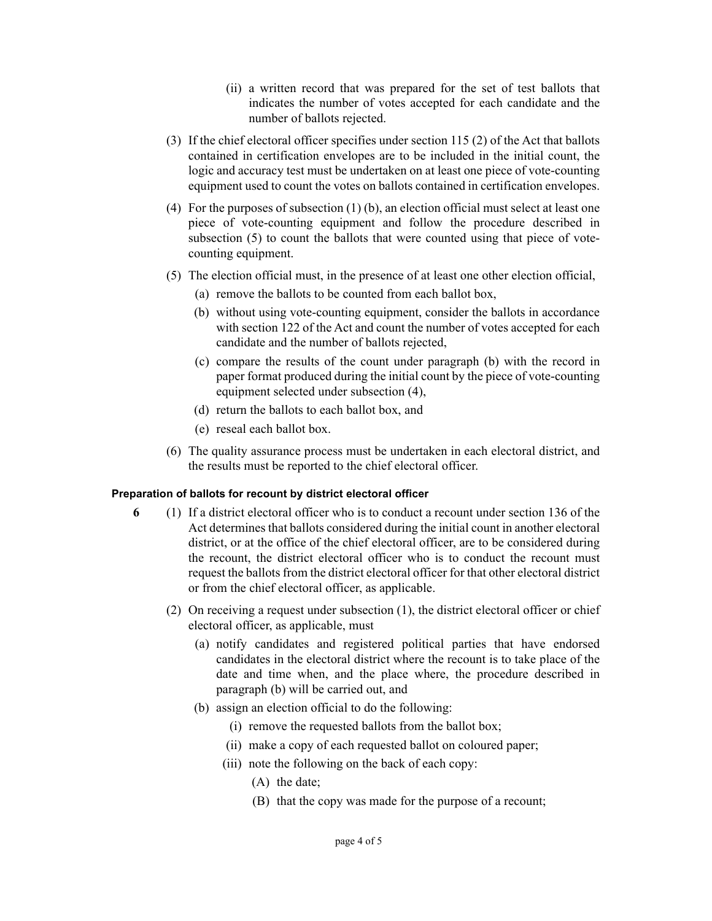- (ii) a written record that was prepared for the set of test ballots that indicates the number of votes accepted for each candidate and the number of ballots rejected.
- (3) If the chief electoral officer specifies under section 115 (2) of the Act that ballots contained in certification envelopes are to be included in the initial count, the logic and accuracy test must be undertaken on at least one piece of vote-counting equipment used to count the votes on ballots contained in certification envelopes.
- (4) For the purposes of subsection (1) (b), an election official must select at least one piece of vote-counting equipment and follow the procedure described in subsection (5) to count the ballots that were counted using that piece of votecounting equipment.
- (5) The election official must, in the presence of at least one other election official,
	- (a) remove the ballots to be counted from each ballot box,
	- (b) without using vote-counting equipment, consider the ballots in accordance with section 122 of the Act and count the number of votes accepted for each candidate and the number of ballots rejected,
	- (c) compare the results of the count under paragraph (b) with the record in paper format produced during the initial count by the piece of vote-counting equipment selected under subsection (4),
	- (d) return the ballots to each ballot box, and
	- (e) reseal each ballot box.
- (6) The quality assurance process must be undertaken in each electoral district, and the results must be reported to the chief electoral officer.

#### **Preparation of ballots for recount by district electoral officer**

- **6** (1) If a district electoral officer who is to conduct a recount under section 136 of the Act determines that ballots considered during the initial count in another electoral district, or at the office of the chief electoral officer, are to be considered during the recount, the district electoral officer who is to conduct the recount must request the ballots from the district electoral officer for that other electoral district or from the chief electoral officer, as applicable.
	- (2) On receiving a request under subsection (1), the district electoral officer or chief electoral officer, as applicable, must
		- (a) notify candidates and registered political parties that have endorsed candidates in the electoral district where the recount is to take place of the date and time when, and the place where, the procedure described in paragraph (b) will be carried out, and
		- (b) assign an election official to do the following:
			- (i) remove the requested ballots from the ballot box;
			- (ii) make a copy of each requested ballot on coloured paper;
			- (iii) note the following on the back of each copy:
				- (A) the date;
				- (B) that the copy was made for the purpose of a recount;